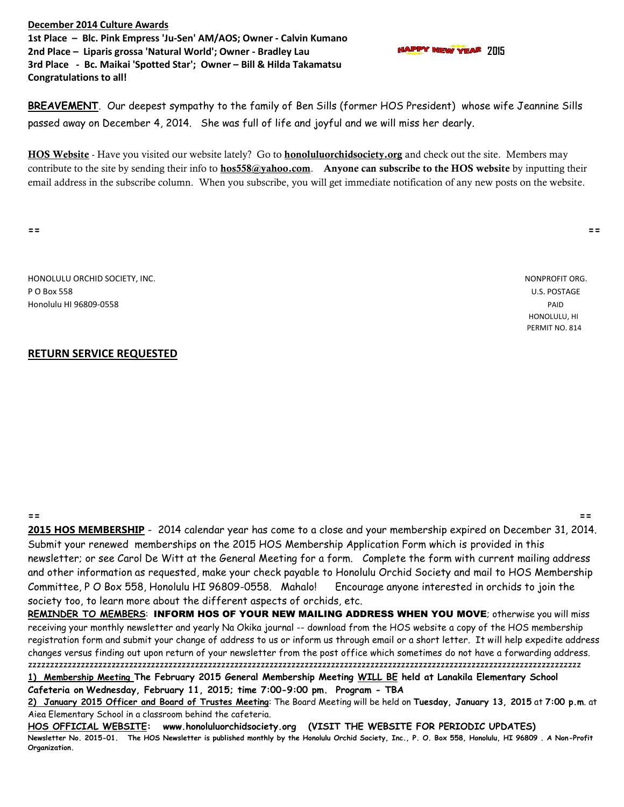**December 2014 Culture Awards 1st Place – Blc. Pink Empress 'Ju-Sen' AM/AOS; Owner - Calvin Kumano 2nd Place – Liparis grossa 'Natural World'; Owner - Bradley Lau 2015 3rd Place - Bc. Maikai 'Spotted Star'; Owner – Bill & Hilda Takamatsu Congratulations to all!**

**BREAVEMENT**. Our deepest sympathy to the family of Ben Sills (former HOS President) whose wife Jeannine Sills

passed away on December 4, 2014. She was full of life and joyful and we will miss her dearly.

HOS Website - Have you visited our website lately? Go to **honoluluorchidsociety.org** and check out the site. Members may contribute to the site by sending their info to **hos558@yahoo.com**. Anyone can subscribe to the HOS website by inputting their email address in the subscribe column. When you subscribe, you will get immediate notification of any new posts on the website.

**== ==**

HONOLULU ORCHID SOCIETY, INC. NONPROFIT ORG. P O Box 558 U.S. POSTAGE Honolulu HI 96809-0558 PAID

## **RETURN SERVICE REQUESTED**

**== == 2015 HOS MEMBERSHIP** - 2014 calendar year has come to a close and your membership expired on December 31, 2014. Submit your renewed memberships on the 2015 HOS Membership Application Form which is provided in this newsletter; or see Carol De Witt at the General Meeting for a form. Complete the form with current mailing address and other information as requested, make your check payable to Honolulu Orchid Society and mail to HOS Membership Committee, P O Box 558, Honolulu HI 96809-0558. Mahalo! Encourage anyone interested in orchids to join the society too, to learn more about the different aspects of orchids, etc.

**REMINDER TO MEMBERS**: INFORM HOS OF YOUR NEW MAILING ADDRESS WHEN YOU MOVE; otherwise you will miss receiving your monthly newsletter and yearly Na Okika journal -- download from the HOS website a copy of the HOS membership registration form and submit your change of address to us or inform us through email or a short letter. It will help expedite address changes versus finding out upon return of your newsletter from the post office which sometimes do not have a forwarding address. zzzzzzzzzzzzzzzzzzzzzzzzzzzzzzzzzzzzzzzzzzzzzzzzzzzzzzzzzzzzzzzzzzzzzzzzzzzzzzzzzzzzzzzzzzzzzzzzzzzzzzzzzzzzzzzzzzzzzzzzzzzzzz **1) Membership Meeting The February 2015 General Membership Meeting WILL BE held at Lanakila Elementary School** 

**Cafeteria on Wednesday, February 11, 2015; time 7:00-9:00 pm. Program - TBA**

**2) January 2015 Officer and Board of Trustes Meeting**: The Board Meeting will be held on **Tuesday, January 13, 2015** at **7:00 p.m**. at Aiea Elementary School in a classroom behind the cafeteria.

**HOS OFFICIAL WEBSITE: www.honoluluorchidsociety.org (VISIT THE WEBSITE FOR PERIODIC UPDATES) Newsletter No. 2015-01. The HOS Newsletter is published monthly by the Honolulu Orchid Society, Inc., P. O. Box 558, Honolulu, HI 96809 . A Non-Profit Organization.**

 HONOLULU, HI PERMIT NO. 814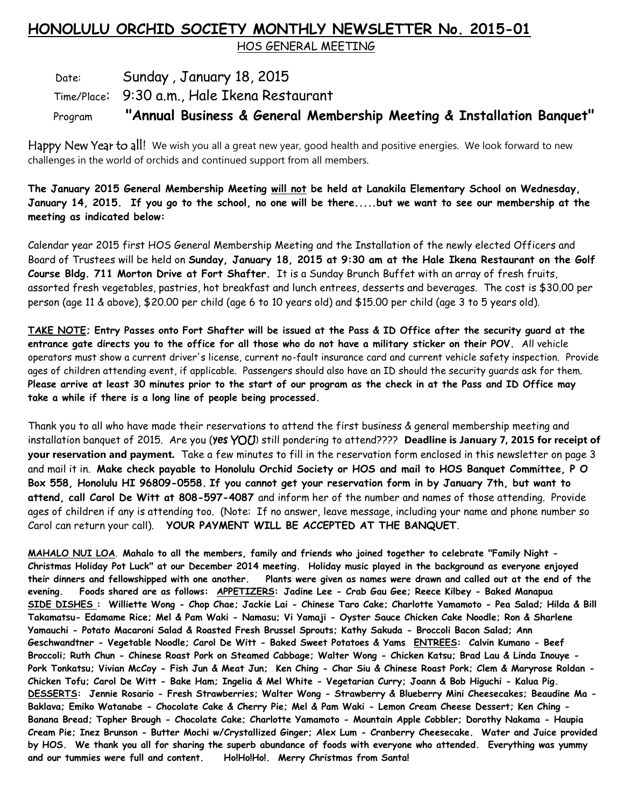## **HONOLULU ORCHID SOCIETY MONTHLY NEWSLETTER No. 2015-01**

HOS GENERAL MEETING

## Date: Sunday, January 18, 2015 Time/Place: 9:30 a.m., Hale Ikena Restaurant Program **"Annual Business & General Membership Meeting & Installation Banquet"**

Happy New Year to all! We wish you all a great new year, good health and positive energies. We look forward to new challenges in the world of orchids and continued support from all members.

**The January 2015 General Membership Meeting will not be held at Lanakila Elementary School on Wednesday, January 14, 2015. If you go to the school, no one will be there.....but we want to see our membership at the meeting as indicated below:**

Calendar year 2015 first HOS General Membership Meeting and the Installation of the newly elected Officers and Board of Trustees will be held on **Sunday, January 18, 2015 at 9:30 am at the Hale Ikena Restaurant on the Golf Course Bldg. 711 Morton Drive at Fort Shafter.** It is a Sunday Brunch Buffet with an array of fresh fruits, assorted fresh vegetables, pastries, hot breakfast and lunch entrees, desserts and beverages. The cost is \$30.00 per person (age 11 & above), \$20.00 per child (age 6 to 10 years old) and \$15.00 per child (age 3 to 5 years old).

**TAKE NOTE; Entry Passes onto Fort Shafter will be issued at the Pass & ID Office after the security guard at the entrance gate directs you to the office for all those who do not have a military sticker on their POV.** All vehicle operators must show a current driver's license, current no-fault insurance card and current vehicle safety inspection. Provide ages of children attending event, if applicable. Passengers should also have an ID should the security guards ask for them. **Please arrive at least 30 minutes prior to the start of our program as the check in at the Pass and ID Office may take a while if there is a long line of people being processed.**

Thank you to all who have made their reservations to attend the first business & general membership meeting and installation banquet of 2015. Are you (Yes YOU) still pondering to attend???? Deadline is January 7, 2015 for receipt of **your reservation and payment.** Take a few minutes to fill in the reservation form enclosed in this newsletter on page 3 and mail it in. **Make check payable to Honolulu Orchid Society or HOS and mail to HOS Banquet Committee, P O Box 558, Honolulu HI 96809-0558. If you cannot get your reservation form in by January 7th, but want to attend, call Carol De Witt at 808-597-4087** and inform her of the number and names of those attending. Provide ages of children if any is attending too. (Note: If no answer, leave message, including your name and phone number so Carol can return your call). **YOUR PAYMENT WILL BE ACCEPTED AT THE BANQUET**.

**MAHALO NUI LOA**. **Mahalo to all the members, family and friends who joined together to celebrate "Family Night - Christmas Holiday Pot Luck" at our December 2014 meeting. Holiday music played in the background as everyone enjoyed their dinners and fellowshipped with one another. Plants were given as names were drawn and called out at the end of the evening. Foods shared are as follows: APPETIZERS: Jadine Lee - Crab Gau Gee; Reece Kilbey - Baked Manapua SIDE DISHES : Williette Wong - Chop Chae; Jackie Lai - Chinese Taro Cake; Charlotte Yamamoto - Pea Salad; Hilda & Bill Takamatsu- Edamame Rice; Mel & Pam Waki - Namasu; Vi Yamaji - Oyster Sauce Chicken Cake Noodle; Ron & Sharlene Yamauchi - Potato Macaroni Salad & Roasted Fresh Brussel Sprouts; Kathy Sakuda - Broccoli Bacon Salad; Ann Geschwandtner - Vegetable Noodle; Carol De Witt - Baked Sweet Potatoes & Yams ENTREES: Calvin Kumano - Beef Broccoli; Ruth Chun - Chinese Roast Pork on Steamed Cabbage; Walter Wong - Chicken Katsu; Brad Lau & Linda Inouye - Pork Tonkatsu; Vivian McCoy - Fish Jun & Meat Jun; Ken Ching - Char Siu & Chinese Roast Pork; Clem & Maryrose Roldan - Chicken Tofu; Carol De Witt - Bake Ham; Ingelia & Mel White - Vegetarian Curry; Joann & Bob Higuchi - Kalua Pig. DESSERTS: Jennie Rosario - Fresh Strawberries; Walter Wong - Strawberry & Blueberry Mini Cheesecakes; Beaudine Ma - Baklava; Emiko Watanabe - Chocolate Cake & Cherry Pie; Mel & Pam Waki - Lemon Cream Cheese Dessert; Ken Ching - Banana Bread; Topher Brough - Chocolate Cake; Charlotte Yamamoto - Mountain Apple Cobbler; Dorothy Nakama - Haupia Cream Pie; Inez Brunson - Butter Mochi w/Crystallized Ginger; Alex Lum - Cranberry Cheesecake. Water and Juice provided by HOS. We thank you all for sharing the superb abundance of foods with everyone who attended. Everything was yummy and our tummies were full and content. Ho!Ho!Ho!. Merry Christmas from Santa!**